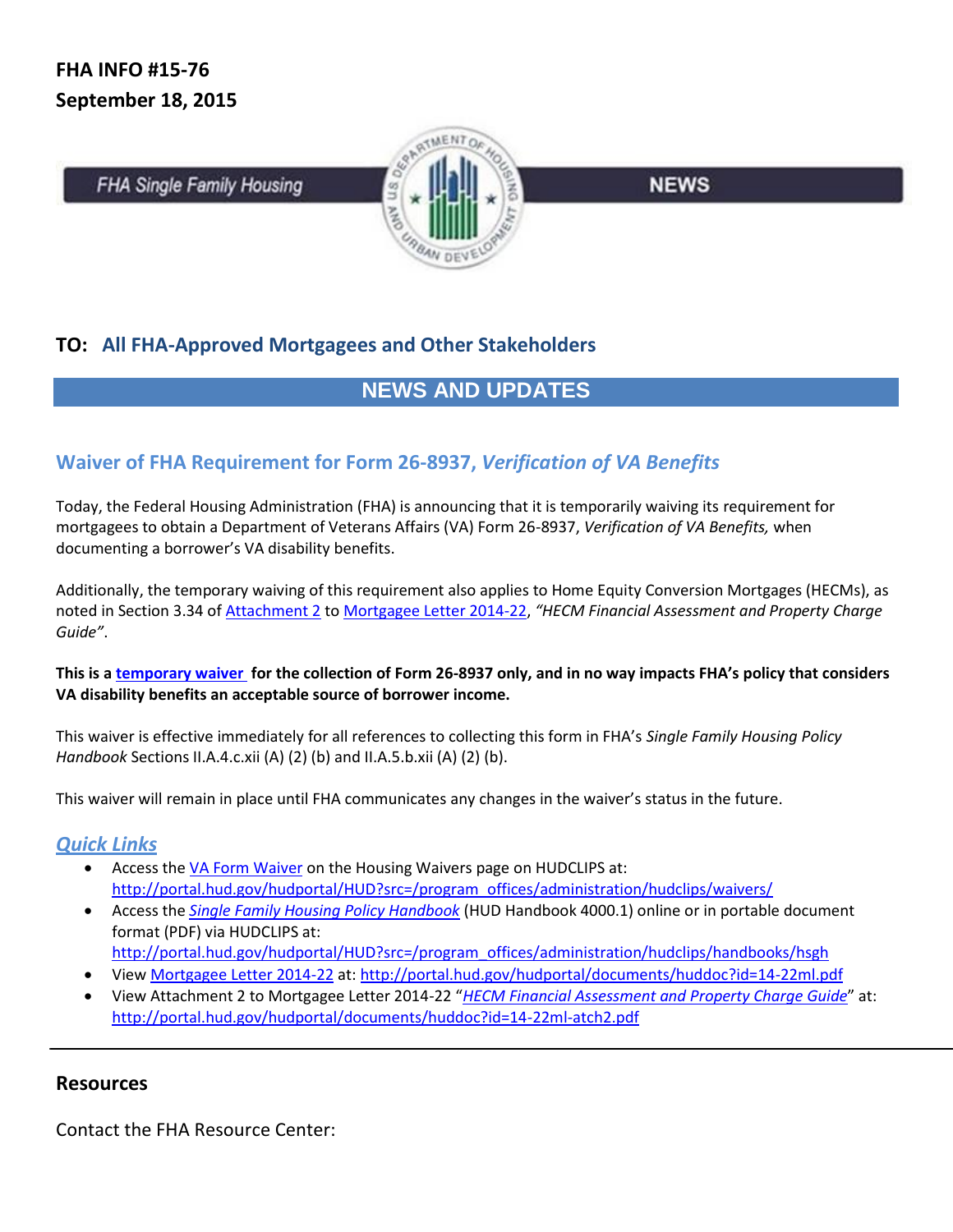**FHA Single Family Housing** 



**NEWS** 

## **TO: All FHA-Approved Mortgagees and Other Stakeholders**

# **NEWS AND UPDATES**

## **Waiver of FHA Requirement for Form 26-8937,** *Verification of VA Benefits*

Today, the Federal Housing Administration (FHA) is announcing that it is temporarily waiving its requirement for mortgagees to obtain a Department of Veterans Affairs (VA) Form 26-8937, *Verification of VA Benefits,* when documenting a borrower's VA disability benefits.

Additionally, the temporary waiving of this requirement also applies to Home Equity Conversion Mortgages (HECMs), as noted in Section 3.34 of [Attachment 2](http://portal.hud.gov/hudportal/documents/huddoc?id=14-22ml-atch2.pdf) t[o Mortgagee Letter 2014-22,](http://portal.hud.gov/hudportal/documents/huddoc?id=14-22ml.pdf) *"HECM Financial Assessment and Property Charge Guide"*.

#### **This is a [temporary waiver](http://portal.hud.gov/hudportal/HUD?src=/program_offices/administration/hudclips/waivers/) for the collection of Form 26-8937 only, and in no way impacts FHA's policy that considers VA disability benefits an acceptable source of borrower income.**

This waiver is effective immediately for all references to collecting this form in FHA's *Single Family Housing Policy Handbook* Sections II.A.4.c.xii (A) (2) (b) and II.A.5.b.xii (A) (2) (b).

This waiver will remain in place until FHA communicates any changes in the waiver's status in the future.

### *Quick Links*

- Access th[e VA Form Waiver](http://portal.hud.gov/hudportal/HUD?src=/program_offices/administration/hudclips/waivers/) on the Housing Waivers page on HUDCLIPS at: [http://portal.hud.gov/hudportal/HUD?src=/program\\_offices/administration/hudclips/waivers/](http://portal.hud.gov/hudportal/HUD?src=/program_offices/administration/hudclips/waivers/)
- Access the *[Single Family Housing Policy Handbook](http://portal.hud.gov/hudportal/HUD?src=/program_offices/administration/hudclips/handbooks/hsgh)* (HUD Handbook 4000.1) online or in portable document format (PDF) via HUDCLIPS at:
	- [http://portal.hud.gov/hudportal/HUD?src=/program\\_offices/administration/hudclips/handbooks/hsgh](http://portal.hud.gov/hudportal/HUD?src=/program_offices/administration/hudclips/handbooks/hsgh)
- Vie[w Mortgagee Letter 2014-22](http://portal.hud.gov/hudportal/documents/huddoc?id=14-22ml.pdf) at:<http://portal.hud.gov/hudportal/documents/huddoc?id=14-22ml.pdf>
- View Attachment 2 to Mortgagee Letter 2014-22 "*[HECM Financial Assessment and Property Charge Guide](http://portal.hud.gov/hudportal/documents/huddoc?id=14-22ml-atch2.pdf)*" at: <http://portal.hud.gov/hudportal/documents/huddoc?id=14-22ml-atch2.pdf>

### **Resources**

Contact the FHA Resource Center: